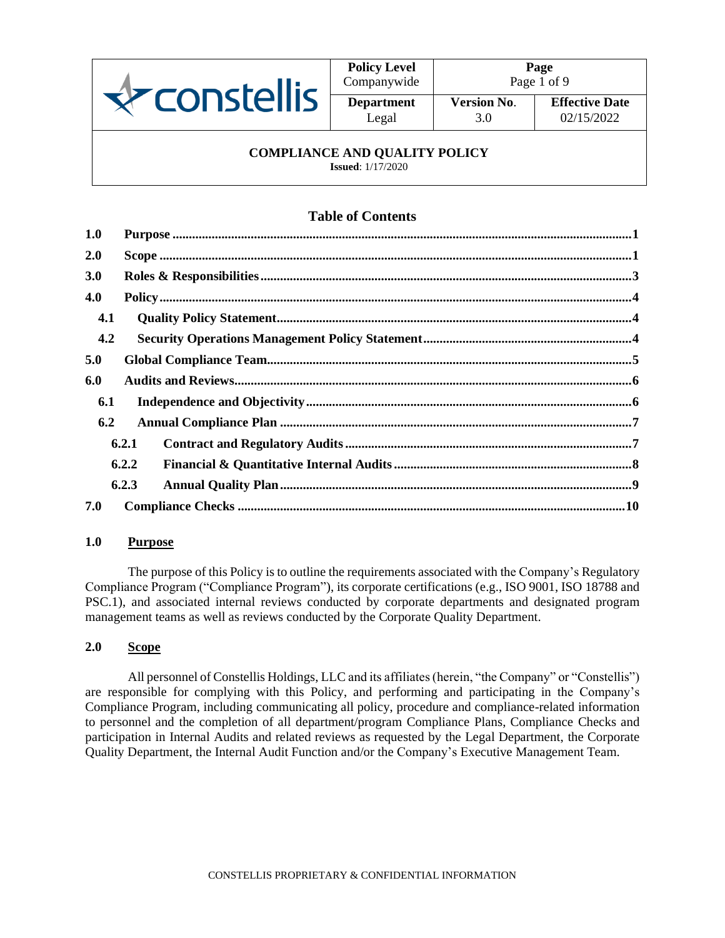

| <b>Policy Level</b><br>Companywide |        |
|------------------------------------|--------|
| <b>Department</b>                  | ė<br>V |
| Legal                              |        |

3.0

## **COMPLIANCE AND QUALITY POLICY**

**Issued**: 1/17/2020

# **Table of Contents**

| 1.0        |       |
|------------|-------|
| 2.0        |       |
| <b>3.0</b> |       |
| 4.0        |       |
| 4.1        |       |
| 4.2        |       |
| 5.0        |       |
| 6.0        |       |
| 6.1        |       |
| 6.2        |       |
|            | 6.2.1 |
|            | 6.2.2 |
|            | 6.2.3 |
| 7.0        |       |

## <span id="page-0-0"></span>**1.0 Purpose**

The purpose of this Policy is to outline the requirements associated with the Company's Regulatory Compliance Program ("Compliance Program"), its corporate certifications (e.g., ISO 9001, ISO 18788 and PSC.1), and associated internal reviews conducted by corporate departments and designated program management teams as well as reviews conducted by the Corporate Quality Department.

## <span id="page-0-1"></span>**2.0 Scope**

All personnel of Constellis Holdings, LLC and its affiliates (herein, "the Company" or "Constellis") are responsible for complying with this Policy, and performing and participating in the Company's Compliance Program, including communicating all policy, procedure and compliance-related information to personnel and the completion of all department/program Compliance Plans, Compliance Checks and participation in Internal Audits and related reviews as requested by the Legal Department, the Corporate Quality Department, the Internal Audit Function and/or the Company's Executive Management Team.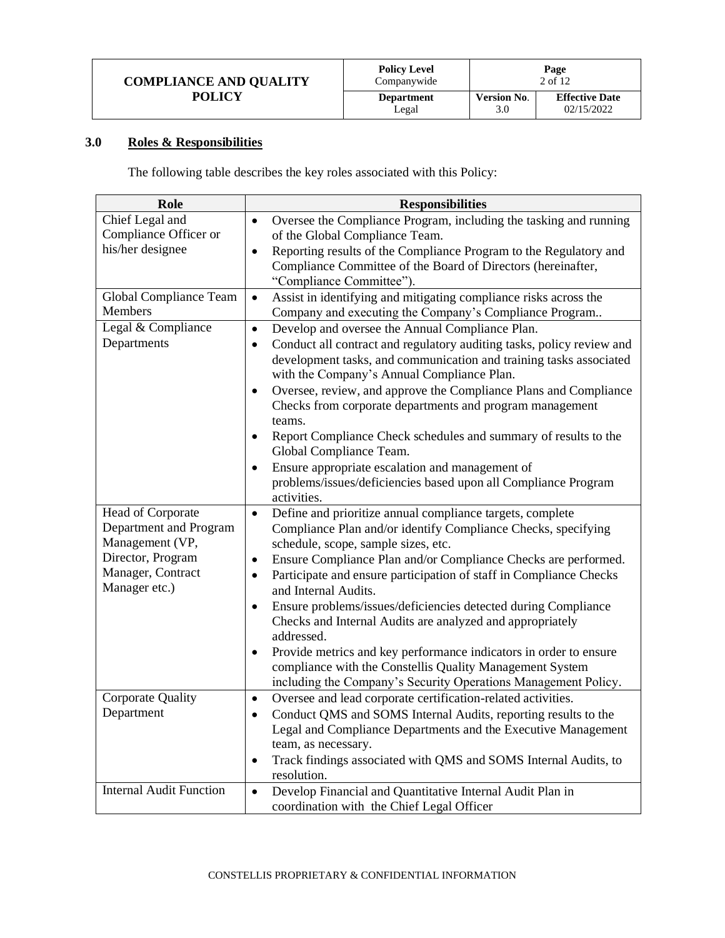| <b>COMPLIANCE AND QUALITY</b> | <b>Policy Level</b><br>Companywide | Page<br>2 of 12    |                       |
|-------------------------------|------------------------------------|--------------------|-----------------------|
| <b>POLICY</b>                 | <b>Department</b>                  | <b>Version No.</b> | <b>Effective Date</b> |
|                               | Legal                              | 3.0                | 02/15/2022            |

# <span id="page-1-0"></span>**3.0 Roles & Responsibilities**

The following table describes the key roles associated with this Policy:

| Role                           | <b>Responsibilities</b>                                                                                          |
|--------------------------------|------------------------------------------------------------------------------------------------------------------|
| Chief Legal and                | Oversee the Compliance Program, including the tasking and running<br>$\bullet$                                   |
| Compliance Officer or          | of the Global Compliance Team.                                                                                   |
| his/her designee               | Reporting results of the Compliance Program to the Regulatory and                                                |
|                                | Compliance Committee of the Board of Directors (hereinafter,                                                     |
|                                | "Compliance Committee").                                                                                         |
| Global Compliance Team         | Assist in identifying and mitigating compliance risks across the<br>$\bullet$                                    |
| <b>Members</b>                 | Company and executing the Company's Compliance Program                                                           |
| Legal & Compliance             | Develop and oversee the Annual Compliance Plan.<br>$\bullet$                                                     |
| Departments                    | Conduct all contract and regulatory auditing tasks, policy review and<br>$\bullet$                               |
|                                | development tasks, and communication and training tasks associated<br>with the Company's Annual Compliance Plan. |
|                                | Oversee, review, and approve the Compliance Plans and Compliance<br>$\bullet$                                    |
|                                | Checks from corporate departments and program management                                                         |
|                                | teams.                                                                                                           |
|                                | Report Compliance Check schedules and summary of results to the<br>$\bullet$                                     |
|                                | Global Compliance Team.                                                                                          |
|                                | Ensure appropriate escalation and management of<br>$\bullet$                                                     |
|                                | problems/issues/deficiencies based upon all Compliance Program<br>activities.                                    |
| Head of Corporate              | Define and prioritize annual compliance targets, complete<br>$\bullet$                                           |
| Department and Program         | Compliance Plan and/or identify Compliance Checks, specifying                                                    |
| Management (VP,                | schedule, scope, sample sizes, etc.                                                                              |
| Director, Program              | Ensure Compliance Plan and/or Compliance Checks are performed.<br>$\bullet$                                      |
| Manager, Contract              | Participate and ensure participation of staff in Compliance Checks                                               |
| Manager etc.)                  | and Internal Audits.                                                                                             |
|                                | Ensure problems/issues/deficiencies detected during Compliance<br>$\bullet$                                      |
|                                | Checks and Internal Audits are analyzed and appropriately                                                        |
|                                | addressed.                                                                                                       |
|                                | Provide metrics and key performance indicators in order to ensure<br>$\bullet$                                   |
|                                | compliance with the Constellis Quality Management System                                                         |
|                                | including the Company's Security Operations Management Policy.                                                   |
| <b>Corporate Quality</b>       | Oversee and lead corporate certification-related activities.<br>$\bullet$                                        |
| Department                     | Conduct QMS and SOMS Internal Audits, reporting results to the<br>$\bullet$                                      |
|                                | Legal and Compliance Departments and the Executive Management                                                    |
|                                | team, as necessary.                                                                                              |
|                                | Track findings associated with QMS and SOMS Internal Audits, to<br>$\bullet$                                     |
| <b>Internal Audit Function</b> | resolution.                                                                                                      |
|                                | Develop Financial and Quantitative Internal Audit Plan in<br>$\bullet$                                           |
|                                | coordination with the Chief Legal Officer                                                                        |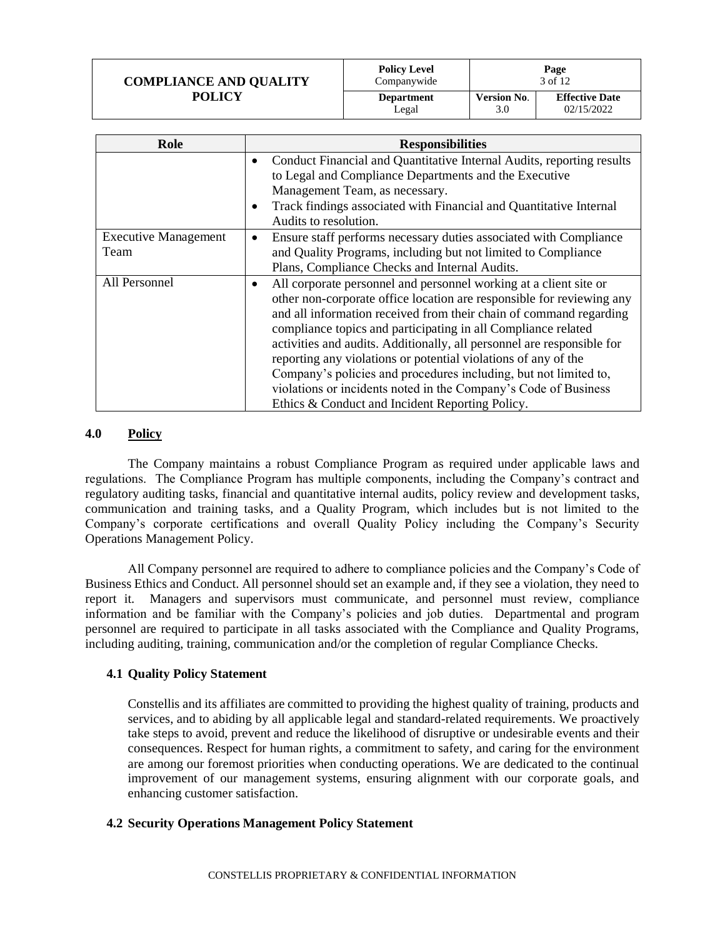| <b>COMPLIANCE AND QUALITY</b> | <b>Policy Level</b><br>Companywide | Page<br>3 of 12    |                       |
|-------------------------------|------------------------------------|--------------------|-----------------------|
| <b>POLICY</b>                 | <b>Department</b>                  | <b>Version No.</b> | <b>Effective Date</b> |
|                               | Legal                              | 3.0                | 02/15/2022            |

| Role                                | <b>Responsibilities</b>                                                                                                                                                                                                                                                                                                                                                                                                                                                                                                                                                                                                 |
|-------------------------------------|-------------------------------------------------------------------------------------------------------------------------------------------------------------------------------------------------------------------------------------------------------------------------------------------------------------------------------------------------------------------------------------------------------------------------------------------------------------------------------------------------------------------------------------------------------------------------------------------------------------------------|
|                                     | Conduct Financial and Quantitative Internal Audits, reporting results<br>to Legal and Compliance Departments and the Executive<br>Management Team, as necessary.<br>Track findings associated with Financial and Quantitative Internal<br>$\bullet$<br>Audits to resolution.                                                                                                                                                                                                                                                                                                                                            |
| <b>Executive Management</b><br>Team | Ensure staff performs necessary duties associated with Compliance<br>٠<br>and Quality Programs, including but not limited to Compliance<br>Plans, Compliance Checks and Internal Audits.                                                                                                                                                                                                                                                                                                                                                                                                                                |
| All Personnel                       | All corporate personnel and personnel working at a client site or<br>other non-corporate office location are responsible for reviewing any<br>and all information received from their chain of command regarding<br>compliance topics and participating in all Compliance related<br>activities and audits. Additionally, all personnel are responsible for<br>reporting any violations or potential violations of any of the<br>Company's policies and procedures including, but not limited to,<br>violations or incidents noted in the Company's Code of Business<br>Ethics & Conduct and Incident Reporting Policy. |

#### <span id="page-2-0"></span>**4.0 Policy**

The Company maintains a robust Compliance Program as required under applicable laws and regulations. The Compliance Program has multiple components, including the Company's contract and regulatory auditing tasks, financial and quantitative internal audits, policy review and development tasks, communication and training tasks, and a Quality Program, which includes but is not limited to the Company's corporate certifications and overall Quality Policy including the Company's Security Operations Management Policy.

All Company personnel are required to adhere to compliance policies and the Company's Code of Business Ethics and Conduct. All personnel should set an example and, if they see a violation, they need to report it. Managers and supervisors must communicate, and personnel must review, compliance information and be familiar with the Company's policies and job duties. Departmental and program personnel are required to participate in all tasks associated with the Compliance and Quality Programs, including auditing, training, communication and/or the completion of regular Compliance Checks.

#### <span id="page-2-1"></span>**4.1 Quality Policy Statement**

Constellis and its affiliates are committed to providing the highest quality of training, products and services, and to abiding by all applicable legal and standard-related requirements. We proactively take steps to avoid, prevent and reduce the likelihood of disruptive or undesirable events and their consequences. Respect for human rights, a commitment to safety, and caring for the environment are among our foremost priorities when conducting operations. We are dedicated to the continual improvement of our management systems, ensuring alignment with our corporate goals, and enhancing customer satisfaction.

#### <span id="page-2-2"></span>**4.2 Security Operations Management Policy Statement**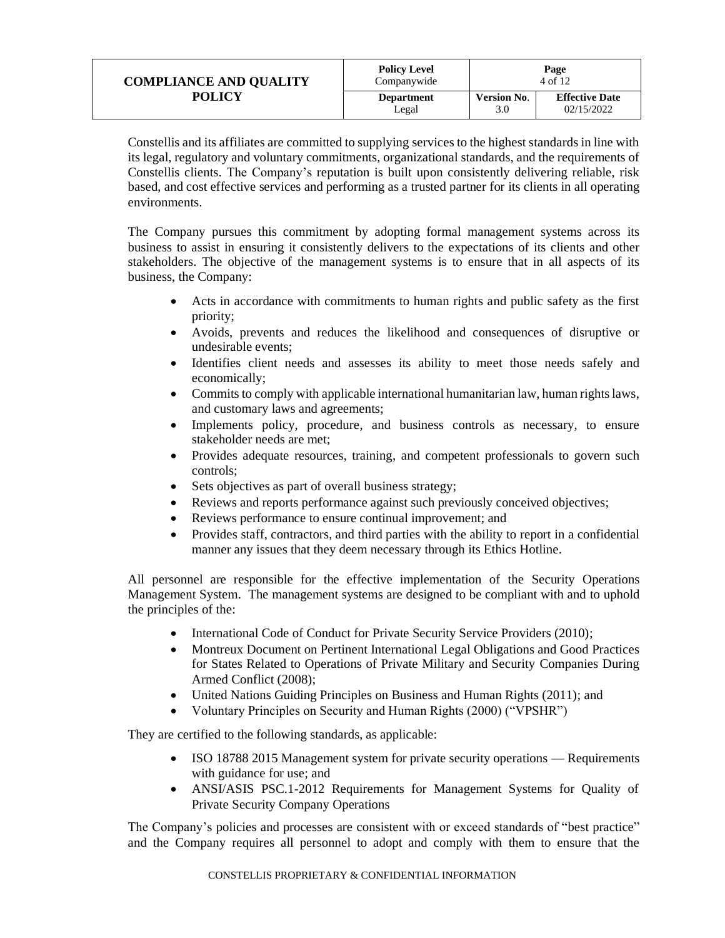| <b>COMPLIANCE AND QUALITY</b> | <b>Policy Level</b><br>Companywide | Page<br>4 of 12    |                       |
|-------------------------------|------------------------------------|--------------------|-----------------------|
| <b>POLICY</b>                 | <b>Department</b>                  | <b>Version No.</b> | <b>Effective Date</b> |
|                               | Legal                              | 3.0                | 02/15/2022            |

Constellis and its affiliates are committed to supplying services to the highest standards in line with its legal, regulatory and voluntary commitments, organizational standards, and the requirements of Constellis clients. The Company's reputation is built upon consistently delivering reliable, risk based, and cost effective services and performing as a trusted partner for its clients in all operating environments.

The Company pursues this commitment by adopting formal management systems across its business to assist in ensuring it consistently delivers to the expectations of its clients and other stakeholders. The objective of the management systems is to ensure that in all aspects of its business, the Company:

- Acts in accordance with commitments to human rights and public safety as the first priority;
- Avoids, prevents and reduces the likelihood and consequences of disruptive or undesirable events;
- Identifies client needs and assesses its ability to meet those needs safely and economically;
- Commits to comply with applicable international humanitarian law, human rights laws, and customary laws and agreements;
- Implements policy, procedure, and business controls as necessary, to ensure stakeholder needs are met;
- Provides adequate resources, training, and competent professionals to govern such controls;
- Sets objectives as part of overall business strategy;
- Reviews and reports performance against such previously conceived objectives;
- Reviews performance to ensure continual improvement; and
- Provides staff, contractors, and third parties with the ability to report in a confidential manner any issues that they deem necessary through its Ethics Hotline.

All personnel are responsible for the effective implementation of the Security Operations Management System. The management systems are designed to be compliant with and to uphold the principles of the:

- International Code of Conduct for Private Security Service Providers (2010);
- Montreux Document on Pertinent International Legal Obligations and Good Practices for States Related to Operations of Private Military and Security Companies During Armed Conflict (2008);
- United Nations Guiding Principles on Business and Human Rights (2011); and
- Voluntary Principles on Security and Human Rights (2000) ("VPSHR")

They are certified to the following standards, as applicable:

- ISO 18788 2015 Management system for private security operations Requirements with guidance for use; and
- ANSI/ASIS PSC.1-2012 Requirements for Management Systems for Quality of Private Security Company Operations

The Company's policies and processes are consistent with or exceed standards of "best practice" and the Company requires all personnel to adopt and comply with them to ensure that the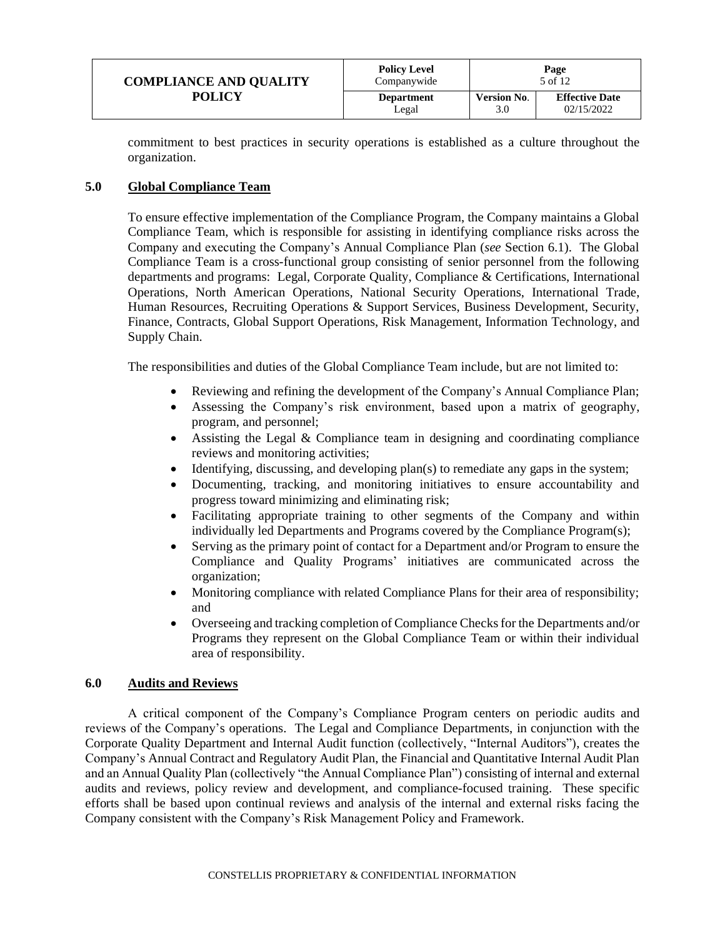| <b>COMPLIANCE AND QUALITY</b> | <b>Policy Level</b><br>Companywide | Page<br>5 of 12    |                       |
|-------------------------------|------------------------------------|--------------------|-----------------------|
| <b>POLICY</b>                 | <b>Department</b>                  | <b>Version No.</b> | <b>Effective Date</b> |
|                               | Legal                              | 3.0                | 02/15/2022            |

commitment to best practices in security operations is established as a culture throughout the organization.

#### <span id="page-4-0"></span>**5.0 Global Compliance Team**

To ensure effective implementation of the Compliance Program, the Company maintains a Global Compliance Team, which is responsible for assisting in identifying compliance risks across the Company and executing the Company's Annual Compliance Plan (*see* Section 6.1). The Global Compliance Team is a cross-functional group consisting of senior personnel from the following departments and programs: Legal, Corporate Quality, Compliance & Certifications, International Operations, North American Operations, National Security Operations, International Trade, Human Resources, Recruiting Operations & Support Services, Business Development, Security, Finance, Contracts, Global Support Operations, Risk Management, Information Technology, and Supply Chain.

The responsibilities and duties of the Global Compliance Team include, but are not limited to:

- Reviewing and refining the development of the Company's Annual Compliance Plan;
- Assessing the Company's risk environment, based upon a matrix of geography, program, and personnel;
- Assisting the Legal & Compliance team in designing and coordinating compliance reviews and monitoring activities;
- Identifying, discussing, and developing plan(s) to remediate any gaps in the system;
- Documenting, tracking, and monitoring initiatives to ensure accountability and progress toward minimizing and eliminating risk;
- Facilitating appropriate training to other segments of the Company and within individually led Departments and Programs covered by the Compliance Program(s);
- Serving as the primary point of contact for a Department and/or Program to ensure the Compliance and Quality Programs' initiatives are communicated across the organization;
- Monitoring compliance with related Compliance Plans for their area of responsibility; and
- Overseeing and tracking completion of Compliance Checks for the Departments and/or Programs they represent on the Global Compliance Team or within their individual area of responsibility.

#### <span id="page-4-1"></span>**6.0 Audits and Reviews**

A critical component of the Company's Compliance Program centers on periodic audits and reviews of the Company's operations. The Legal and Compliance Departments, in conjunction with the Corporate Quality Department and Internal Audit function (collectively, "Internal Auditors"), creates the Company's Annual Contract and Regulatory Audit Plan, the Financial and Quantitative Internal Audit Plan and an Annual Quality Plan (collectively "the Annual Compliance Plan") consisting of internal and external audits and reviews, policy review and development, and compliance-focused training. These specific efforts shall be based upon continual reviews and analysis of the internal and external risks facing the Company consistent with the Company's Risk Management Policy and Framework.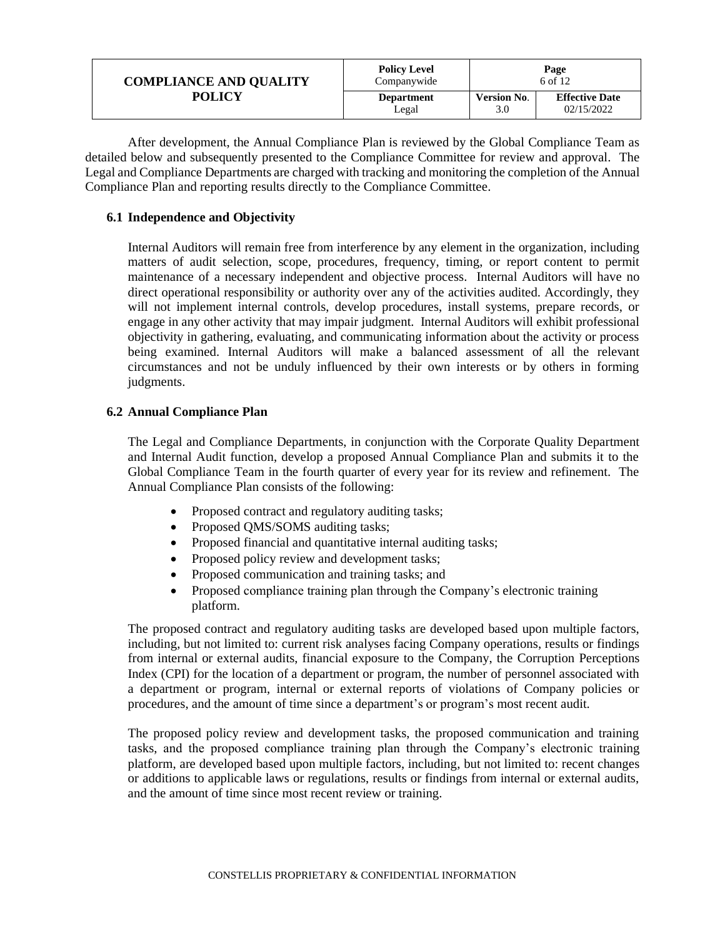| <b>COMPLIANCE AND QUALITY</b> | <b>Policy Level</b><br>Companywide | Page<br>6 of 12    |                       |
|-------------------------------|------------------------------------|--------------------|-----------------------|
| POLICY                        | <b>Department</b>                  | <b>Version No.</b> | <b>Effective Date</b> |
|                               | Legal                              | 3.0                | 02/15/2022            |

After development, the Annual Compliance Plan is reviewed by the Global Compliance Team as detailed below and subsequently presented to the Compliance Committee for review and approval. The Legal and Compliance Departments are charged with tracking and monitoring the completion of the Annual Compliance Plan and reporting results directly to the Compliance Committee.

#### <span id="page-5-0"></span>**6.1 Independence and Objectivity**

Internal Auditors will remain free from interference by any element in the organization, including matters of audit selection, scope, procedures, frequency, timing, or report content to permit maintenance of a necessary independent and objective process. Internal Auditors will have no direct operational responsibility or authority over any of the activities audited. Accordingly, they will not implement internal controls, develop procedures, install systems, prepare records, or engage in any other activity that may impair judgment. Internal Auditors will exhibit professional objectivity in gathering, evaluating, and communicating information about the activity or process being examined. Internal Auditors will make a balanced assessment of all the relevant circumstances and not be unduly influenced by their own interests or by others in forming judgments.

### <span id="page-5-1"></span>**6.2 Annual Compliance Plan**

The Legal and Compliance Departments, in conjunction with the Corporate Quality Department and Internal Audit function, develop a proposed Annual Compliance Plan and submits it to the Global Compliance Team in the fourth quarter of every year for its review and refinement. The Annual Compliance Plan consists of the following:

- Proposed contract and regulatory auditing tasks;
- Proposed QMS/SOMS auditing tasks;
- Proposed financial and quantitative internal auditing tasks;
- Proposed policy review and development tasks;
- Proposed communication and training tasks; and
- Proposed compliance training plan through the Company's electronic training platform.

The proposed contract and regulatory auditing tasks are developed based upon multiple factors, including, but not limited to: current risk analyses facing Company operations, results or findings from internal or external audits, financial exposure to the Company, the Corruption Perceptions Index (CPI) for the location of a department or program, the number of personnel associated with a department or program, internal or external reports of violations of Company policies or procedures, and the amount of time since a department's or program's most recent audit.

The proposed policy review and development tasks, the proposed communication and training tasks, and the proposed compliance training plan through the Company's electronic training platform, are developed based upon multiple factors, including, but not limited to: recent changes or additions to applicable laws or regulations, results or findings from internal or external audits, and the amount of time since most recent review or training.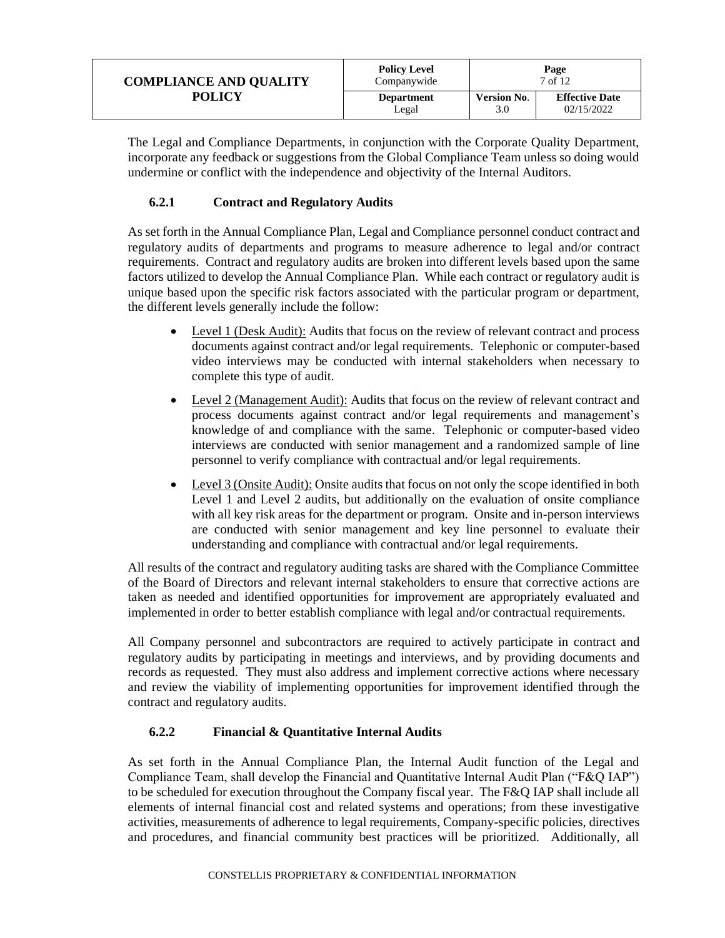| <b>COMPLIANCE AND QUALITY</b> | <b>Policy Level</b><br>Companywide | Page<br>7 of 12    |                       |
|-------------------------------|------------------------------------|--------------------|-----------------------|
| <b>POLICY</b>                 | <b>Department</b>                  | <b>Version No.</b> | <b>Effective Date</b> |
|                               | Legal                              | 3.0                | 02/15/2022            |

The Legal and Compliance Departments, in conjunction with the Corporate Quality Department, incorporate any feedback or suggestions from the Global Compliance Team unless so doing would undermine or conflict with the independence and objectivity of the Internal Auditors.

## **6.2.1 Contract and Regulatory Audits**

<span id="page-6-0"></span>As set forth in the Annual Compliance Plan, Legal and Compliance personnel conduct contract and regulatory audits of departments and programs to measure adherence to legal and/or contract requirements. Contract and regulatory audits are broken into different levels based upon the same factors utilized to develop the Annual Compliance Plan. While each contract or regulatory audit is unique based upon the specific risk factors associated with the particular program or department, the different levels generally include the follow:

- Level 1 (Desk Audit): Audits that focus on the review of relevant contract and process documents against contract and/or legal requirements. Telephonic or computer-based video interviews may be conducted with internal stakeholders when necessary to complete this type of audit.
- Level 2 (Management Audit): Audits that focus on the review of relevant contract and process documents against contract and/or legal requirements and management's knowledge of and compliance with the same. Telephonic or computer-based video interviews are conducted with senior management and a randomized sample of line personnel to verify compliance with contractual and/or legal requirements.
- Level 3 (Onsite Audit): Onsite audits that focus on not only the scope identified in both Level 1 and Level 2 audits, but additionally on the evaluation of onsite compliance with all key risk areas for the department or program. Onsite and in-person interviews are conducted with senior management and key line personnel to evaluate their understanding and compliance with contractual and/or legal requirements.

All results of the contract and regulatory auditing tasks are shared with the Compliance Committee of the Board of Directors and relevant internal stakeholders to ensure that corrective actions are taken as needed and identified opportunities for improvement are appropriately evaluated and implemented in order to better establish compliance with legal and/or contractual requirements.

All Company personnel and subcontractors are required to actively participate in contract and regulatory audits by participating in meetings and interviews, and by providing documents and records as requested. They must also address and implement corrective actions where necessary and review the viability of implementing opportunities for improvement identified through the contract and regulatory audits.

## **6.2.2 Financial & Quantitative Internal Audits**

<span id="page-6-1"></span>As set forth in the Annual Compliance Plan, the Internal Audit function of the Legal and Compliance Team, shall develop the Financial and Quantitative Internal Audit Plan ("F&Q IAP") to be scheduled for execution throughout the Company fiscal year. The F&Q IAP shall include all elements of internal financial cost and related systems and operations; from these investigative activities, measurements of adherence to legal requirements, Company-specific policies, directives and procedures, and financial community best practices will be prioritized. Additionally, all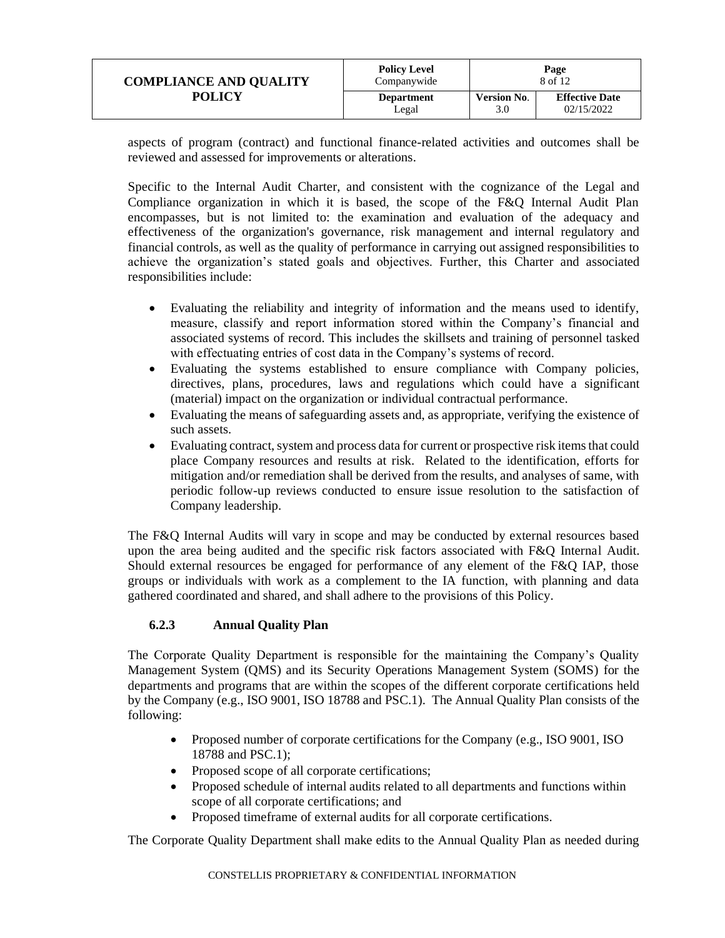| <b>COMPLIANCE AND QUALITY</b> | <b>Policy Level</b><br>Companywide | Page<br>8 of 12    |                       |
|-------------------------------|------------------------------------|--------------------|-----------------------|
| POLICY                        | <b>Department</b>                  | <b>Version No.</b> | <b>Effective Date</b> |
|                               | Legal                              | 3.0                | 02/15/2022            |

aspects of program (contract) and functional finance-related activities and outcomes shall be reviewed and assessed for improvements or alterations.

Specific to the Internal Audit Charter, and consistent with the cognizance of the Legal and Compliance organization in which it is based, the scope of the F&Q Internal Audit Plan encompasses, but is not limited to: the examination and evaluation of the adequacy and effectiveness of the organization's governance, risk management and internal regulatory and financial controls, as well as the quality of performance in carrying out assigned responsibilities to achieve the organization's stated goals and objectives. Further, this Charter and associated responsibilities include:

- Evaluating the reliability and integrity of information and the means used to identify, measure, classify and report information stored within the Company's financial and associated systems of record. This includes the skillsets and training of personnel tasked with effectuating entries of cost data in the Company's systems of record.
- Evaluating the systems established to ensure compliance with Company policies, directives, plans, procedures, laws and regulations which could have a significant (material) impact on the organization or individual contractual performance.
- Evaluating the means of safeguarding assets and, as appropriate, verifying the existence of such assets.
- Evaluating contract, system and process data for current or prospective risk items that could place Company resources and results at risk. Related to the identification, efforts for mitigation and/or remediation shall be derived from the results, and analyses of same, with periodic follow-up reviews conducted to ensure issue resolution to the satisfaction of Company leadership.

The F&Q Internal Audits will vary in scope and may be conducted by external resources based upon the area being audited and the specific risk factors associated with F&Q Internal Audit. Should external resources be engaged for performance of any element of the F&Q IAP, those groups or individuals with work as a complement to the IA function, with planning and data gathered coordinated and shared, and shall adhere to the provisions of this Policy.

## **6.2.3 Annual Quality Plan**

<span id="page-7-0"></span>The Corporate Quality Department is responsible for the maintaining the Company's Quality Management System (QMS) and its Security Operations Management System (SOMS) for the departments and programs that are within the scopes of the different corporate certifications held by the Company (e.g., ISO 9001, ISO 18788 and PSC.1). The Annual Quality Plan consists of the following:

- Proposed number of corporate certifications for the Company (e.g., ISO 9001, ISO 18788 and PSC.1);
- Proposed scope of all corporate certifications;
- Proposed schedule of internal audits related to all departments and functions within scope of all corporate certifications; and
- Proposed timeframe of external audits for all corporate certifications.

The Corporate Quality Department shall make edits to the Annual Quality Plan as needed during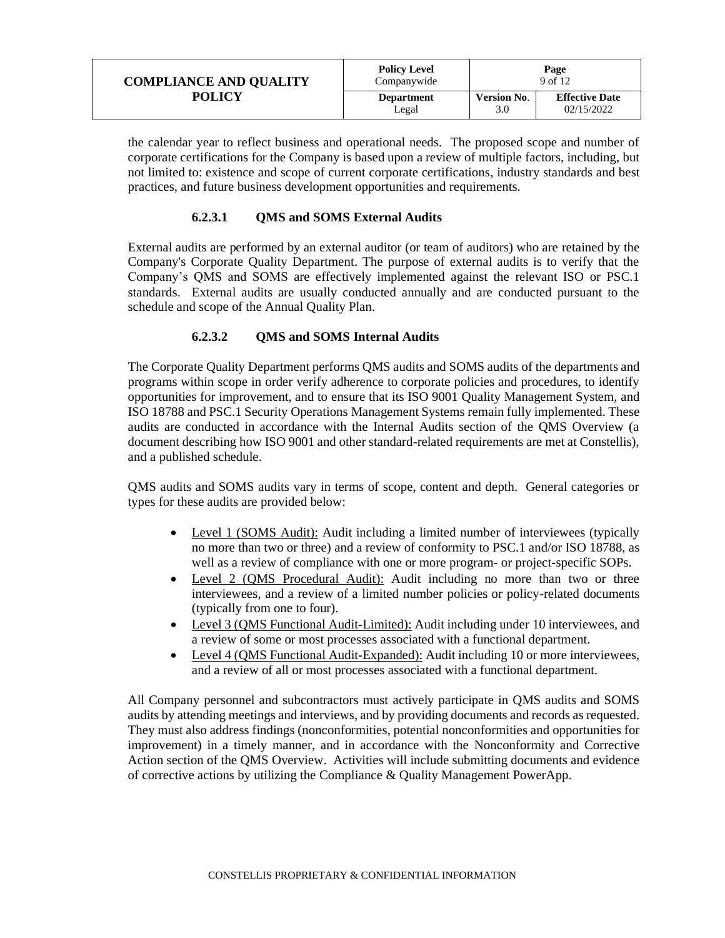| <b>COMPLIANCE AND QUALITY</b> | <b>Policy Level</b><br>Companywide | Page<br>9 of 12    |                       |
|-------------------------------|------------------------------------|--------------------|-----------------------|
| <b>POLICY</b>                 | <b>Department</b>                  | <b>Version No.</b> | <b>Effective Date</b> |
|                               | Legal                              | 3.0                | 02/15/2022            |

the calendar year to reflect business and operational needs. The proposed scope and number of corporate certifications for the Company is based upon a review of multiple factors, including, but not limited to: existence and scope of current corporate certifications, industry standards and best practices, and future business development opportunities and requirements.

#### **6.2.3.1 QMS and SOMS External Audits**

External audits are performed by an external auditor (or team of auditors) who are retained by the Company's Corporate Quality Department. The purpose of external audits is to verify that the Company's QMS and SOMS are effectively implemented against the relevant ISO or PSC.1 standards. External audits are usually conducted annually and are conducted pursuant to the schedule and scope of the Annual Quality Plan.

### **6.2.3.2 QMS and SOMS Internal Audits**

The Corporate Quality Department performs QMS audits and SOMS audits of the departments and programs within scope in order verify adherence to corporate policies and procedures, to identify opportunities for improvement, and to ensure that its ISO 9001 Quality Management System, and ISO 18788 and PSC.1 Security Operations Management Systems remain fully implemented. These audits are conducted in accordance with the Internal Audits section of the QMS Overview (a document describing how ISO 9001 and other standard-related requirements are met at Constellis), and a published schedule.

QMS audits and SOMS audits vary in terms of scope, content and depth. General categories or types for these audits are provided below:

- Level 1 (SOMS Audit): Audit including a limited number of interviewees (typically no more than two or three) and a review of conformity to PSC.1 and/or ISO 18788, as well as a review of compliance with one or more program- or project-specific SOPs.
- Level 2 (QMS Procedural Audit): Audit including no more than two or three interviewees, and a review of a limited number policies or policy-related documents (typically from one to four).
- Level 3 (QMS Functional Audit-Limited): Audit including under 10 interviewees, and a review of some or most processes associated with a functional department.
- Level 4 (QMS Functional Audit-Expanded): Audit including 10 or more interviewees, and a review of all or most processes associated with a functional department.

<span id="page-8-0"></span>All Company personnel and subcontractors must actively participate in QMS audits and SOMS audits by attending meetings and interviews, and by providing documents and records as requested. They must also address findings (nonconformities, potential nonconformities and opportunities for improvement) in a timely manner, and in accordance with the Nonconformity and Corrective Action section of the QMS Overview. Activities will include submitting documents and evidence of corrective actions by utilizing the Compliance & Quality Management PowerApp.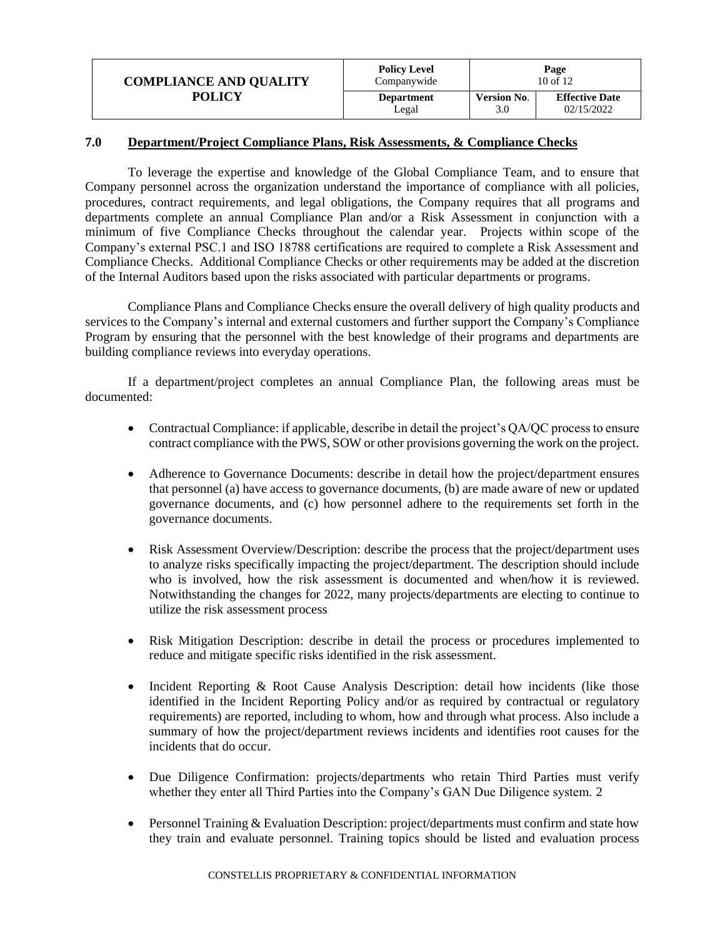| <b>COMPLIANCE AND QUALITY</b><br><b>POLICY</b> | <b>Policy Level</b><br>Companywide | Page<br>$10$ of $12$ |                       |
|------------------------------------------------|------------------------------------|----------------------|-----------------------|
|                                                | <b>Department</b>                  | <b>Version No.</b>   | <b>Effective Date</b> |
|                                                | Legal                              | 3.0                  | 02/15/2022            |

#### **7.0 Department/Project Compliance Plans, Risk Assessments, & Compliance Checks**

To leverage the expertise and knowledge of the Global Compliance Team, and to ensure that Company personnel across the organization understand the importance of compliance with all policies, procedures, contract requirements, and legal obligations, the Company requires that all programs and departments complete an annual Compliance Plan and/or a Risk Assessment in conjunction with a minimum of five Compliance Checks throughout the calendar year. Projects within scope of the Company's external PSC.1 and ISO 18788 certifications are required to complete a Risk Assessment and Compliance Checks. Additional Compliance Checks or other requirements may be added at the discretion of the Internal Auditors based upon the risks associated with particular departments or programs.

Compliance Plans and Compliance Checks ensure the overall delivery of high quality products and services to the Company's internal and external customers and further support the Company's Compliance Program by ensuring that the personnel with the best knowledge of their programs and departments are building compliance reviews into everyday operations.

If a department/project completes an annual Compliance Plan, the following areas must be documented:

- Contractual Compliance: if applicable, describe in detail the project's OA/OC process to ensure contract compliance with the PWS, SOW or other provisions governing the work on the project.
- Adherence to Governance Documents: describe in detail how the project/department ensures that personnel (a) have access to governance documents, (b) are made aware of new or updated governance documents, and (c) how personnel adhere to the requirements set forth in the governance documents.
- Risk Assessment Overview/Description: describe the process that the project/department uses to analyze risks specifically impacting the project/department. The description should include who is involved, how the risk assessment is documented and when/how it is reviewed. Notwithstanding the changes for 2022, many projects/departments are electing to continue to utilize the risk assessment process
- Risk Mitigation Description: describe in detail the process or procedures implemented to reduce and mitigate specific risks identified in the risk assessment.
- Incident Reporting & Root Cause Analysis Description: detail how incidents (like those identified in the Incident Reporting Policy and/or as required by contractual or regulatory requirements) are reported, including to whom, how and through what process. Also include a summary of how the project/department reviews incidents and identifies root causes for the incidents that do occur.
- Due Diligence Confirmation: projects/departments who retain Third Parties must verify whether they enter all Third Parties into the Company's GAN Due Diligence system. 2
- Personnel Training & Evaluation Description: project/departments must confirm and state how they train and evaluate personnel. Training topics should be listed and evaluation process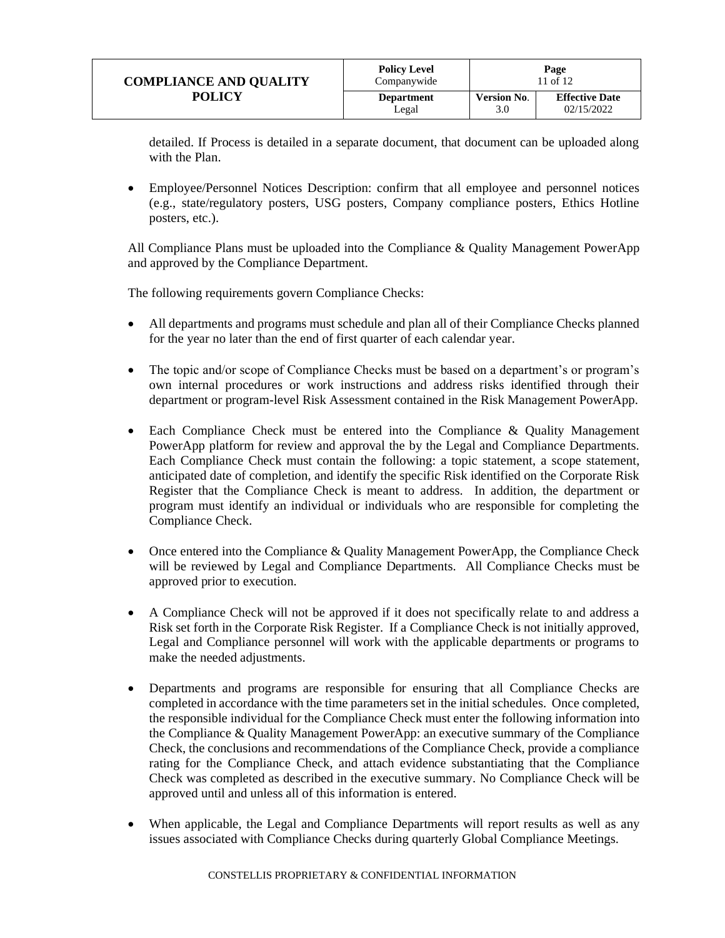| <b>COMPLIANCE AND QUALITY</b><br>POLICY | <b>Policy Level</b><br>Companywide | Page<br>11 of 12          |                                     |
|-----------------------------------------|------------------------------------|---------------------------|-------------------------------------|
|                                         | <b>Department</b><br>Legal         | <b>Version No.</b><br>3.0 | <b>Effective Date</b><br>02/15/2022 |

detailed. If Process is detailed in a separate document, that document can be uploaded along with the Plan.

• Employee/Personnel Notices Description: confirm that all employee and personnel notices (e.g., state/regulatory posters, USG posters, Company compliance posters, Ethics Hotline posters, etc.).

All Compliance Plans must be uploaded into the Compliance & Quality Management PowerApp and approved by the Compliance Department.

The following requirements govern Compliance Checks:

- All departments and programs must schedule and plan all of their Compliance Checks planned for the year no later than the end of first quarter of each calendar year.
- The topic and/or scope of Compliance Checks must be based on a department's or program's own internal procedures or work instructions and address risks identified through their department or program-level Risk Assessment contained in the Risk Management PowerApp.
- Each Compliance Check must be entered into the Compliance & Quality Management PowerApp platform for review and approval the by the Legal and Compliance Departments. Each Compliance Check must contain the following: a topic statement, a scope statement, anticipated date of completion, and identify the specific Risk identified on the Corporate Risk Register that the Compliance Check is meant to address. In addition, the department or program must identify an individual or individuals who are responsible for completing the Compliance Check.
- Once entered into the Compliance & Quality Management PowerApp, the Compliance Check will be reviewed by Legal and Compliance Departments. All Compliance Checks must be approved prior to execution.
- A Compliance Check will not be approved if it does not specifically relate to and address a Risk set forth in the Corporate Risk Register. If a Compliance Check is not initially approved, Legal and Compliance personnel will work with the applicable departments or programs to make the needed adjustments.
- Departments and programs are responsible for ensuring that all Compliance Checks are completed in accordance with the time parameters set in the initial schedules. Once completed, the responsible individual for the Compliance Check must enter the following information into the Compliance & Quality Management PowerApp: an executive summary of the Compliance Check, the conclusions and recommendations of the Compliance Check, provide a compliance rating for the Compliance Check, and attach evidence substantiating that the Compliance Check was completed as described in the executive summary. No Compliance Check will be approved until and unless all of this information is entered.
- When applicable, the Legal and Compliance Departments will report results as well as any issues associated with Compliance Checks during quarterly Global Compliance Meetings.